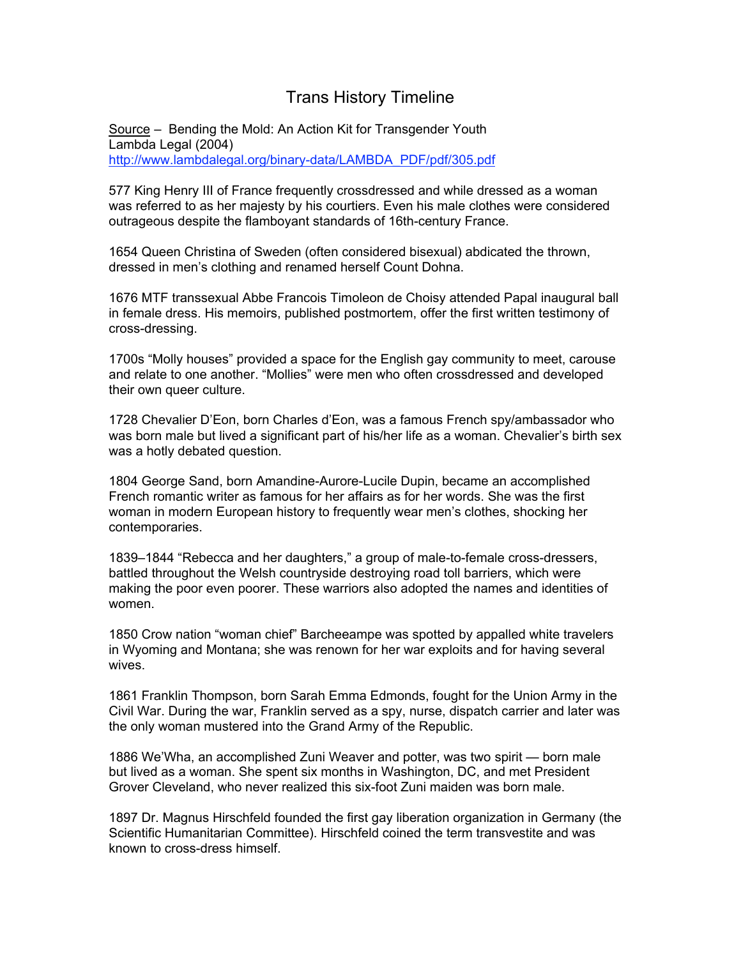## Trans History Timeline

Source – Bending the Mold: An Action Kit for Transgender Youth Lambda Legal (2004) http://www.lambdalegal.org/binary-data/LAMBDA\_PDF/pdf/305.pdf

577 King Henry III of France frequently crossdressed and while dressed as a woman was referred to as her majesty by his courtiers. Even his male clothes were considered outrageous despite the flamboyant standards of 16th-century France.

1654 Queen Christina of Sweden (often considered bisexual) abdicated the thrown, dressed in men's clothing and renamed herself Count Dohna.

1676 MTF transsexual Abbe Francois Timoleon de Choisy attended Papal inaugural ball in female dress. His memoirs, published postmortem, offer the first written testimony of cross-dressing.

1700s "Molly houses" provided a space for the English gay community to meet, carouse and relate to one another. "Mollies" were men who often crossdressed and developed their own queer culture.

1728 Chevalier D'Eon, born Charles d'Eon, was a famous French spy/ambassador who was born male but lived a significant part of his/her life as a woman. Chevalier's birth sex was a hotly debated question.

1804 George Sand, born Amandine-Aurore-Lucile Dupin, became an accomplished French romantic writer as famous for her affairs as for her words. She was the first woman in modern European history to frequently wear men's clothes, shocking her contemporaries.

1839–1844 "Rebecca and her daughters," a group of male-to-female cross-dressers, battled throughout the Welsh countryside destroying road toll barriers, which were making the poor even poorer. These warriors also adopted the names and identities of women.

1850 Crow nation "woman chief" Barcheeampe was spotted by appalled white travelers in Wyoming and Montana; she was renown for her war exploits and for having several wives.

1861 Franklin Thompson, born Sarah Emma Edmonds, fought for the Union Army in the Civil War. During the war, Franklin served as a spy, nurse, dispatch carrier and later was the only woman mustered into the Grand Army of the Republic.

1886 We'Wha, an accomplished Zuni Weaver and potter, was two spirit — born male but lived as a woman. She spent six months in Washington, DC, and met President Grover Cleveland, who never realized this six-foot Zuni maiden was born male.

1897 Dr. Magnus Hirschfeld founded the first gay liberation organization in Germany (the Scientific Humanitarian Committee). Hirschfeld coined the term transvestite and was known to cross-dress himself.